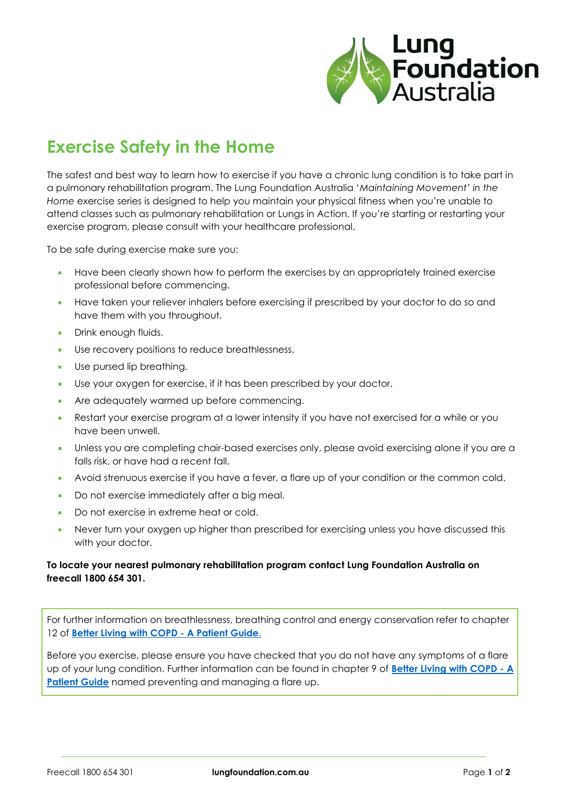

# **Exercise Safety in the Home**

The safest and best way to learn how to exercise if you have a chronic lung condition is to take part in a pulmonary rehabilitation program. The Lung Foundation Australia '*Maintaining Movement' in the Home* exercise series is designed to help you maintain your physical fitness when you're unable to attend classes such as pulmonary rehabilitation or Lungs in Action. If you're starting or restarting your exercise program, please consult with your healthcare professional.

To be safe during exercise make sure you:

- Have been clearly shown how to perform the exercises by an appropriately trained exercise professional before commencing.
- Have taken your reliever inhalers before exercising if prescribed by your doctor to do so and have them with you throughout.
- Drink enough fluids.
- Use recovery positions to reduce breathlessness.
- Use pursed lip breathing.
- Use your oxygen for exercise, if it has been prescribed by your doctor.
- Are adequately warmed up before commencing.
- Restart your exercise program at a lower intensity if you have not exercised for a while or you have been unwell.
- Unless you are completing chair-based exercises only, please avoid exercising alone if you are a falls risk, or have had a recent fall.
- Avoid strenuous exercise if you have a fever, a flare up of your condition or the common cold.
- Do not exercise immediately after a big meal.
- Do not exercise in extreme heat or cold.
- Never turn your oxygen up higher than prescribed for exercising unless you have discussed this with your doctor.

#### **To locate your nearest pulmonary rehabilitation program contact Lung Foundation Australia on freecall 1800 654 301.**

For further information on breathlessness, breathing control and energy conservation refer to chapter 12 of **[Better Living with COPD -](https://lungfoundation.com.au/resources/better-living-with-copd-booklet/) A Patient Guide**[.](https://lungfoundation.com.au/resources/better-living-with-copd-booklet/)

Before you exercise, please ensure you have checked that you do not have any symptoms of a flare up of your lung condition. Further information can be found in chapter 9 of **[Better Living with COPD -](https://lungfoundation.com.au/resources/better-living-with-copd-booklet/) A [Patient Guide](https://lungfoundation.com.au/resources/better-living-with-copd-booklet/)** named preventing and managing a flare up.